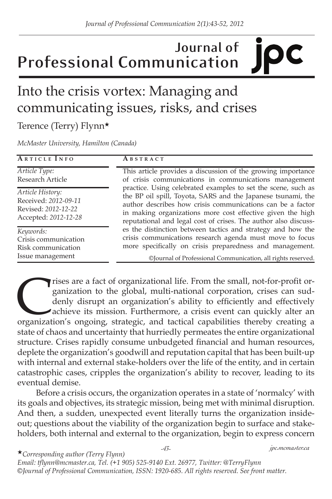# **Journal of Professional Communication**

## Into the crisis vortex: Managing and communicating issues, risks, and crises

Terence (Terry) Flynn★

*McMaster University, Hamilton (Canada)*

| ARTICLE INFO                                                                            | ABSTRACT                                                                                                                                                                                                                                                                                                                                                                                                                                                                                                                                                                                                                                                                                                     |
|-----------------------------------------------------------------------------------------|--------------------------------------------------------------------------------------------------------------------------------------------------------------------------------------------------------------------------------------------------------------------------------------------------------------------------------------------------------------------------------------------------------------------------------------------------------------------------------------------------------------------------------------------------------------------------------------------------------------------------------------------------------------------------------------------------------------|
| Article Type:<br>Research Article                                                       | This article provides a discussion of the growing importance<br>of crisis communications in communications management<br>practice. Using celebrated examples to set the scene, such as<br>the BP oil spill, Toyota, SARS and the Japanese tsunami, the<br>author describes how crisis communications can be a factor<br>in making organizations more cost effective given the high<br>reputational and legal cost of crises. The author also discuss-<br>es the distinction between tactics and strategy and how the<br>crisis communications research agenda must move to focus<br>more specifically on crisis preparedness and management.<br>©Journal of Professional Communication, all rights reserved. |
| Article History:<br>Received: 2012-09-11<br>Revised: 2012-12-22<br>Accepted: 2012-12-28 |                                                                                                                                                                                                                                                                                                                                                                                                                                                                                                                                                                                                                                                                                                              |
| Keywords:<br>Crisis communication<br>Risk communication<br>Issue management             |                                                                                                                                                                                                                                                                                                                                                                                                                                                                                                                                                                                                                                                                                                              |

Trises are a fact of organizational life. From the small, not-for-profit organization to the global, multi-national corporation, crises can suddenly disrupt an organization's objetively achieve its mission. Furthermore, a ganization to the global, multi-national corporation, crises can suddenly disrupt an organization's ability to efficiently and effectively achieve its mission. Furthermore, a crisis event can quickly alter an state of chaos and uncertainty that hurriedly permeates the entire organizational structure. Crises rapidly consume unbudgeted financial and human resources, deplete the organization's goodwill and reputation capital that has been built-up with internal and external stake-holders over the life of the entity, and in certain catastrophic cases, cripples the organization's ability to recover, leading to its eventual demise.

Before a crisis occurs, the organization operates in a state of 'normalcy' with its goals and objectives, its strategic mission, being met with minimal disruption. And then, a sudden, unexpected event literally turns the organization insideout; questions about the viability of the organization begin to surface and stakeholders, both internal and external to the organization, begin to express concern

★*Corresponding author (Terry Flynn) Email: tflynn@mcmaster.ca, Tel. (+1 905) 525-9140 Ext. 26977, Twitter: @TerryFlynn ©Journal of Professional Communication, ISSN: 1920-685. All rights reserved. See front matter.*

*-43- jpc.mcmaster.ca*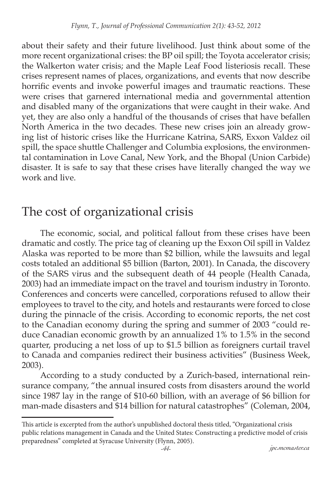about their safety and their future livelihood. Just think about some of the more recent organizational crises: the BP oil spill; the Toyota accelerator crisis; the Walkerton water crisis; and the Maple Leaf Food listeriosis recall. These crises represent names of places, organizations, and events that now describe horrific events and invoke powerful images and traumatic reactions. These were crises that garnered international media and governmental attention and disabled many of the organizations that were caught in their wake. And yet, they are also only a handful of the thousands of crises that have befallen North America in the two decades. These new crises join an already growing list of historic crises like the Hurricane Katrina, SARS, Exxon Valdez oil spill, the space shuttle Challenger and Columbia explosions, the environmental contamination in Love Canal, New York, and the Bhopal (Union Carbide) disaster. It is safe to say that these crises have literally changed the way we work and live.

#### The cost of organizational crisis

The economic, social, and political fallout from these crises have been dramatic and costly. The price tag of cleaning up the Exxon Oil spill in Valdez Alaska was reported to be more than \$2 billion, while the lawsuits and legal costs totaled an additional \$5 billion (Barton, 2001). In Canada, the discovery of the SARS virus and the subsequent death of 44 people (Health Canada, 2003) had an immediate impact on the travel and tourism industry in Toronto. Conferences and concerts were cancelled, corporations refused to allow their employees to travel to the city, and hotels and restaurants were forced to close during the pinnacle of the crisis. According to economic reports, the net cost to the Canadian economy during the spring and summer of 2003 "could reduce Canadian economic growth by an annualized 1% to 1.5% in the second quarter, producing a net loss of up to \$1.5 billion as foreigners curtail travel to Canada and companies redirect their business activities" (Business Week, 2003).

According to a study conducted by a Zurich-based, international reinsurance company, "the annual insured costs from disasters around the world since 1987 lay in the range of \$10-60 billion, with an average of \$6 billion for man-made disasters and \$14 billion for natural catastrophes" (Coleman, 2004,

This article is excerpted from the author's unpublished doctoral thesis titled, "Organizational crisis public relations management in Canada and the United States: Constructing a predictive model of crisis preparedness" completed at Syracuse University (Flynn, 2005).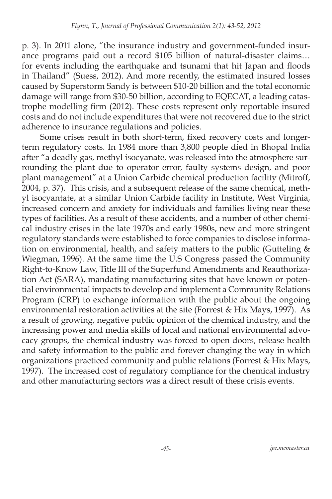p. 3). In 2011 alone, "the insurance industry and government-funded insurance programs paid out a record \$105 billion of natural-disaster claims… for events including the earthquake and tsunami that hit Japan and floods in Thailand" (Suess, 2012). And more recently, the estimated insured losses caused by Superstorm Sandy is between \$10-20 billion and the total economic damage will range from \$30-50 billion, according to EQECAT, a leading catastrophe modelling firm (2012). These costs represent only reportable insured costs and do not include expenditures that were not recovered due to the strict adherence to insurance regulations and policies.

Some crises result in both short-term, fixed recovery costs and longerterm regulatory costs. In 1984 more than 3,800 people died in Bhopal India after "a deadly gas, methyl isocyanate, was released into the atmosphere surrounding the plant due to operator error, faulty systems design, and poor plant management" at a Union Carbide chemical production facility (Mitroff, 2004, p. 37). This crisis, and a subsequent release of the same chemical, methyl isocyantate, at a similar Union Carbide facility in Institute, West Virginia, increased concern and anxiety for individuals and families living near these types of facilities. As a result of these accidents, and a number of other chemical industry crises in the late 1970s and early 1980s, new and more stringent regulatory standards were established to force companies to disclose information on environmental, health, and safety matters to the public (Gutteling  $&$ Wiegman, 1996). At the same time the U.S Congress passed the Community Right-to-Know Law, Title III of the Superfund Amendments and Reauthorization Act (SARA), mandating manufacturing sites that have known or potential environmental impacts to develop and implement a Community Relations Program (CRP) to exchange information with the public about the ongoing environmental restoration activities at the site (Forrest & Hix Mays, 1997). As a result of growing, negative public opinion of the chemical industry, and the increasing power and media skills of local and national environmental advocacy groups, the chemical industry was forced to open doors, release health and safety information to the public and forever changing the way in which organizations practiced community and public relations (Forrest & Hix Mays, 1997). The increased cost of regulatory compliance for the chemical industry and other manufacturing sectors was a direct result of these crisis events.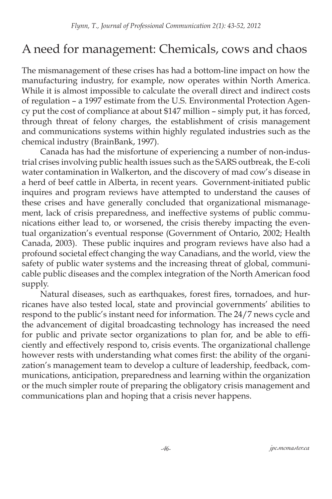### A need for management: Chemicals, cows and chaos

The mismanagement of these crises has had a bottom-line impact on how the manufacturing industry, for example, now operates within North America. While it is almost impossible to calculate the overall direct and indirect costs of regulation – a 1997 estimate from the U.S. Environmental Protection Agency put the cost of compliance at about \$147 million – simply put, it has forced, through threat of felony charges, the establishment of crisis management and communications systems within highly regulated industries such as the chemical industry (BrainBank, 1997).

Canada has had the misfortune of experiencing a number of non-industrial crises involving public health issues such as the SARS outbreak, the E-coli water contamination in Walkerton, and the discovery of mad cow's disease in a herd of beef cattle in Alberta, in recent years. Government-initiated public inquires and program reviews have attempted to understand the causes of these crises and have generally concluded that organizational mismanagement, lack of crisis preparedness, and ineffective systems of public communications either lead to, or worsened, the crisis thereby impacting the eventual organization's eventual response (Government of Ontario, 2002; Health Canada, 2003). These public inquires and program reviews have also had a profound societal effect changing the way Canadians, and the world, view the safety of public water systems and the increasing threat of global, communicable public diseases and the complex integration of the North American food supply.

Natural diseases, such as earthquakes, forest fires, tornadoes, and hurricanes have also tested local, state and provincial governments' abilities to respond to the public's instant need for information. The 24/7 news cycle and the advancement of digital broadcasting technology has increased the need for public and private sector organizations to plan for, and be able to efficiently and effectively respond to, crisis events. The organizational challenge however rests with understanding what comes first: the ability of the organization's management team to develop a culture of leadership, feedback, communications, anticipation, preparedness and learning within the organization or the much simpler route of preparing the obligatory crisis management and communications plan and hoping that a crisis never happens.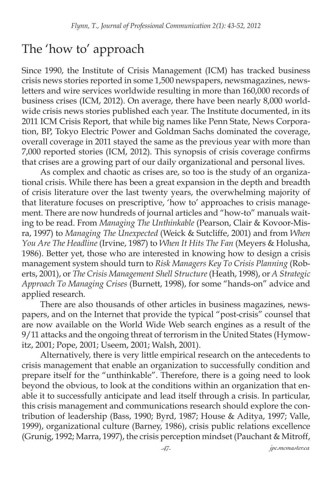#### The 'how to' approach

Since 1990, the Institute of Crisis Management (ICM) has tracked business crisis news stories reported in some 1,500 newspapers, newsmagazines, newsletters and wire services worldwide resulting in more than 160,000 records of business crises (ICM, 2012). On average, there have been nearly 8,000 worldwide crisis news stories published each year. The Institute documented, in its 2011 ICM Crisis Report, that while big names like Penn State, News Corporation, BP, Tokyo Electric Power and Goldman Sachs dominated the coverage, overall coverage in 2011 stayed the same as the previous year with more than 7,000 reported stories (ICM, 2012). This synopsis of crisis coverage confirms that crises are a growing part of our daily organizational and personal lives.

As complex and chaotic as crises are, so too is the study of an organizational crisis. While there has been a great expansion in the depth and breadth of crisis literature over the last twenty years, the overwhelming majority of that literature focuses on prescriptive, 'how to' approaches to crisis management. There are now hundreds of journal articles and "how-to" manuals waiting to be read. From *Managing The Unthinkable* (Pearson, Clair & Kovoor-Misra, 1997) to *Managing The Unexpected* (Weick & Sutcliffe, 2001) and from *When You Are The Headline* (Irvine, 1987) to *When It Hits The Fan* (Meyers & Holusha, 1986). Better yet, those who are interested in knowing how to design a crisis management system should turn to *Risk Managers Key To Crisis Planning* (Roberts, 2001), or *The Crisis Management Shell Structure* (Heath, 1998), or *A Strategic Approach To Managing Crises* (Burnett, 1998), for some "hands-on" advice and applied research.

There are also thousands of other articles in business magazines, newspapers, and on the Internet that provide the typical "post-crisis" counsel that are now available on the World Wide Web search engines as a result of the 9/11 attacks and the ongoing threat of terrorism in the United States (Hymowitz, 2001; Pope, 2001; Useem, 2001; Walsh, 2001).

Alternatively, there is very little empirical research on the antecedents to crisis management that enable an organization to successfully condition and prepare itself for the "unthinkable". Therefore, there is a going need to look beyond the obvious, to look at the conditions within an organization that enable it to successfully anticipate and lead itself through a crisis. In particular, this crisis management and communications research should explore the contribution of leadership (Bass, 1990; Byrd, 1987; House & Aditya, 1997; Valle, 1999), organizational culture (Barney, 1986), crisis public relations excellence (Grunig, 1992; Marra, 1997), the crisis perception mindset (Pauchant & Mitroff,

*-47- jpc.mcmaster.ca*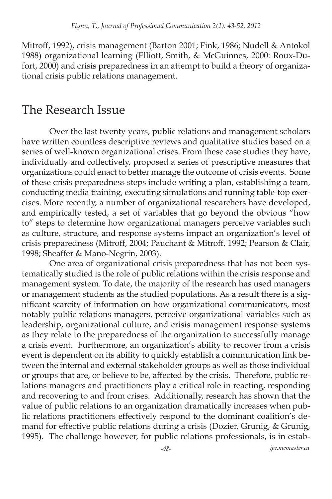Mitroff, 1992), crisis management (Barton 2001; Fink, 1986; Nudell & Antokol 1988) organizational learning (Elliott, Smith, & McGuinnes, 2000: Roux-Dufort, 2000) and crisis preparedness in an attempt to build a theory of organizational crisis public relations management.

#### The Research Issue

Over the last twenty years, public relations and management scholars have written countless descriptive reviews and qualitative studies based on a series of well-known organizational crises. From these case studies they have, individually and collectively, proposed a series of prescriptive measures that organizations could enact to better manage the outcome of crisis events. Some of these crisis preparedness steps include writing a plan, establishing a team, conducting media training, executing simulations and running table-top exercises. More recently, a number of organizational researchers have developed, and empirically tested, a set of variables that go beyond the obvious "how to" steps to determine how organizational managers perceive variables such as culture, structure, and response systems impact an organization's level of crisis preparedness (Mitroff, 2004; Pauchant & Mitroff, 1992; Pearson & Clair, 1998; Sheaffer & Mano-Negrin, 2003).

One area of organizational crisis preparedness that has not been systematically studied is the role of public relations within the crisis response and management system. To date, the majority of the research has used managers or management students as the studied populations. As a result there is a significant scarcity of information on how organizational communicators, most notably public relations managers, perceive organizational variables such as leadership, organizational culture, and crisis management response systems as they relate to the preparedness of the organization to successfully manage a crisis event. Furthermore, an organization's ability to recover from a crisis event is dependent on its ability to quickly establish a communication link between the internal and external stakeholder groups as well as those individual or groups that are, or believe to be, affected by the crisis. Therefore, public relations managers and practitioners play a critical role in reacting, responding and recovering to and from crises. Additionally, research has shown that the value of public relations to an organization dramatically increases when public relations practitioners effectively respond to the dominant coalition's demand for effective public relations during a crisis (Dozier, Grunig, & Grunig, 1995). The challenge however, for public relations professionals, is in estab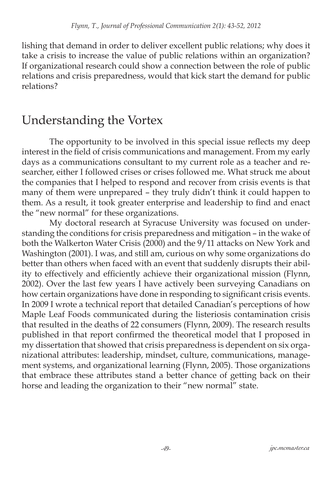lishing that demand in order to deliver excellent public relations; why does it take a crisis to increase the value of public relations within an organization? If organizational research could show a connection between the role of public relations and crisis preparedness, would that kick start the demand for public relations?

#### Understanding the Vortex

The opportunity to be involved in this special issue reflects my deep interest in the field of crisis communications and management. From my early days as a communications consultant to my current role as a teacher and researcher, either I followed crises or crises followed me. What struck me about the companies that I helped to respond and recover from crisis events is that many of them were unprepared – they truly didn't think it could happen to them. As a result, it took greater enterprise and leadership to find and enact the "new normal" for these organizations.

My doctoral research at Syracuse University was focused on understanding the conditions for crisis preparedness and mitigation – in the wake of both the Walkerton Water Crisis (2000) and the 9/11 attacks on New York and Washington (2001). I was, and still am, curious on why some organizations do better than others when faced with an event that suddenly disrupts their ability to effectively and efficiently achieve their organizational mission (Flynn, 2002). Over the last few years I have actively been surveying Canadians on how certain organizations have done in responding to significant crisis events. In 2009 I wrote a technical report that detailed Canadian's perceptions of how Maple Leaf Foods communicated during the listeriosis contamination crisis that resulted in the deaths of 22 consumers (Flynn, 2009). The research results published in that report confirmed the theoretical model that I proposed in my dissertation that showed that crisis preparedness is dependent on six organizational attributes: leadership, mindset, culture, communications, management systems, and organizational learning (Flynn, 2005). Those organizations that embrace these attributes stand a better chance of getting back on their horse and leading the organization to their "new normal" state.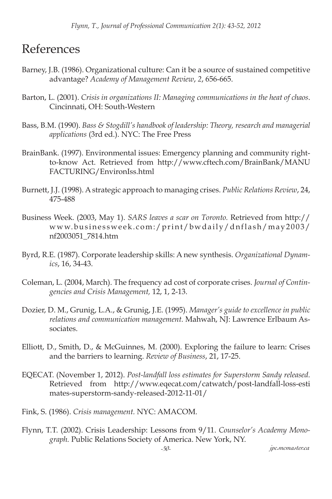#### References

- Barney, J.B. (1986). Organizational culture: Can it be a source of sustained competitive advantage? *Academy of Management Review*, *2*, 656-665.
- Barton, L. (2001). *Crisis in organizations II: Managing communications in the heat of chaos*. Cincinnati, OH: South-Western
- Bass, B.M. (1990). *Bass & Stogdill's handbook of leadership: Theory, research and managerial applications* (3rd ed.). NYC: The Free Press
- BrainBank. (1997). Environmental issues: Emergency planning and community rightto-know Act. Retrieved from http://www.cftech.com/BrainBank/MANU FACTURING/EnvironIss.html
- Burnett, J.J. (1998). A strategic approach to managing crises. *Public Relations Review*, 24, 475-488
- Business Week. (2003, May 1). *SARS leaves a scar on Toronto.* Retrieved from http:// www.businessweek.com:/print/bwdaily/dnflash/may2003/ nf2003051\_7814.htm
- Byrd, R.E. (1987). Corporate leadership skills: A new synthesis. *Organizational Dynamics*, 16, 34-43.
- Coleman, L. (2004, March). The frequency ad cost of corporate crises. *Journal of Contingencies and Crisis Management,* 12, 1, 2-13.
- Dozier, D. M., Grunig, L.A., & Grunig, J.E. (1995). *Manager's guide to excellence in public relations and communication management.* Mahwah, NJ: Lawrence Erlbaum Associates.
- Elliott, D., Smith, D., & McGuinnes, M. (2000). Exploring the failure to learn: Crises and the barriers to learning. *Review of Business*, 21, 17-25.
- EQECAT. (November 1, 2012). *Post-landfall loss estimates for Superstorm Sandy released.*  Retrieved from http://www.eqecat.com/catwatch/post-landfall-loss-esti mates-superstorm-sandy-released-2012-11-01/
- Fink, S. (1986). *Crisis management.* NYC: AMACOM.
- Flynn, T.T. (2002). Crisis Leadership: Lessons from 9/11. *Counselor's Academy Monograph.* Public Relations Society of America. New York, NY.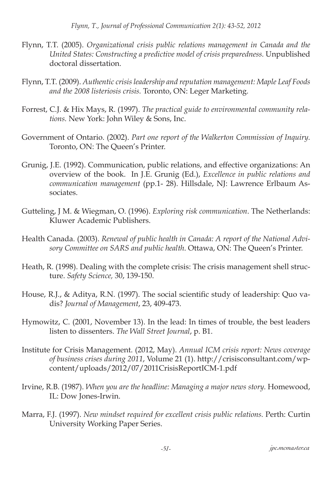- Flynn, T.T. (2005). *Organizational crisis public relations management in Canada and the United States: Constructing a predictive model of crisis preparedness.* Unpublished doctoral dissertation.
- Flynn, T.T. (2009). *Authentic crisis leadership and reputation management: Maple Leaf Foods and the 2008 listeriosis crisis.* Toronto, ON: Leger Marketing.
- Forrest, C.J. & Hix Mays, R. (1997). *The practical guide to environmental community relations.* New York: John Wiley & Sons, Inc.
- Government of Ontario. (2002). *Part one report of the Walkerton Commission of Inquiry.* Toronto, ON: The Queen's Printer.
- Grunig, J.E. (1992). Communication, public relations, and effective organizations: An overview of the book. In J.E. Grunig (Ed.), *Excellence in public relations and communication management* (pp.1- 28). Hillsdale, NJ: Lawrence Erlbaum Associates.
- Gutteling, J M. & Wiegman, O. (1996). *Exploring risk communication*. The Netherlands: Kluwer Academic Publishers.
- Health Canada. (2003). *Renewal of public health in Canada: A report of the National Advisory Committee on SARS and public health*. Ottawa, ON: The Queen's Printer.
- Heath, R. (1998). Dealing with the complete crisis: The crisis management shell structure. *Safety Science,* 30, 139-150.
- House, R.J., & Aditya, R.N. (1997). The social scientific study of leadership: Quo vadis? *Journal of Management*, 23, 409-473.
- Hymowitz, C. (2001, November 13). In the lead: In times of trouble, the best leaders listen to dissenters. *The Wall Street Journal*, p. B1.
- Institute for Crisis Management. (2012, May). *Annual ICM crisis report: News coverage of business crises during 2011*, Volume 21 (1). http://crisisconsultant.com/wpcontent/uploads/2012/07/2011CrisisReportICM-1.pdf
- Irvine, R.B. (1987). *When you are the headline: Managing a major news story.* Homewood, IL: Dow Jones-Irwin.
- Marra, F.J. (1997). *New mindset required for excellent crisis public relations.* Perth: Curtin University Working Paper Series.